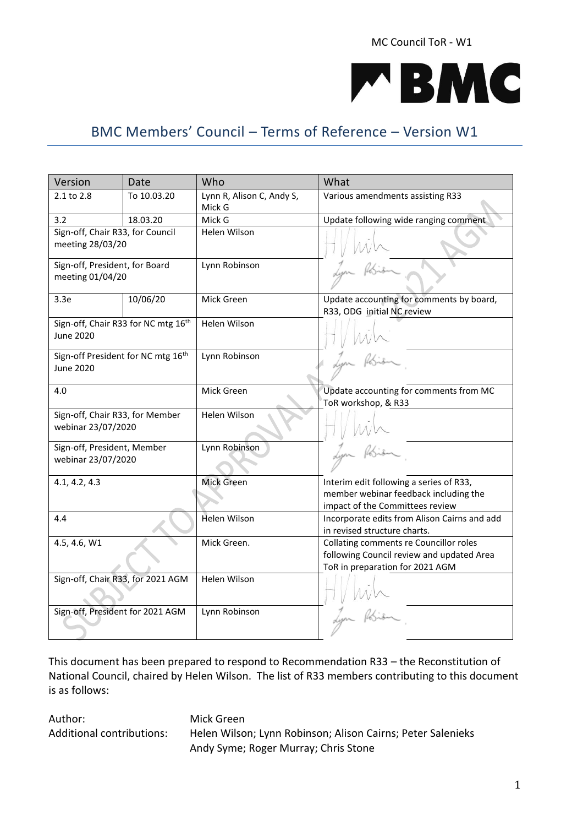MC Council ToR - W1



# BMC Members' Council – Terms of Reference – Version W1

| Version                                                     | Date        | Who                                 | What                                                                                                                   |  |
|-------------------------------------------------------------|-------------|-------------------------------------|------------------------------------------------------------------------------------------------------------------------|--|
| 2.1 to 2.8                                                  | To 10.03.20 | Lynn R, Alison C, Andy S,<br>Mick G | Various amendments assisting R33                                                                                       |  |
| 3.2                                                         | 18.03.20    | Mick G                              | Update following wide ranging comment                                                                                  |  |
| Sign-off, Chair R33, for Council<br>meeting 28/03/20        |             | Helen Wilson                        |                                                                                                                        |  |
| Sign-off, President, for Board<br>meeting 01/04/20          |             | Lynn Robinson                       |                                                                                                                        |  |
| 3.3e                                                        | 10/06/20    | Mick Green                          | Update accounting for comments by board,<br>R33, ODG initial NC review                                                 |  |
| Sign-off, Chair R33 for NC mtg 16th<br><b>June 2020</b>     |             | Helen Wilson                        |                                                                                                                        |  |
| Sign-off President for NC mtg 16 <sup>th</sup><br>June 2020 |             | Lynn Robinson                       |                                                                                                                        |  |
| 4.0                                                         |             | Mick Green                          | Update accounting for comments from MC<br>ToR workshop, & R33                                                          |  |
| Sign-off, Chair R33, for Member<br>webinar 23/07/2020       |             | Helen Wilson                        |                                                                                                                        |  |
| Sign-off, President, Member<br>webinar 23/07/2020           |             | Lynn Robinson                       |                                                                                                                        |  |
| 4.1, 4.2, 4.3                                               |             | <b>Mick Green</b>                   | Interim edit following a series of R33,                                                                                |  |
|                                                             |             |                                     | member webinar feedback including the<br>impact of the Committees review                                               |  |
| 4.4                                                         |             | Helen Wilson                        | Incorporate edits from Alison Cairns and add<br>in revised structure charts.                                           |  |
| 4.5, 4.6, W1                                                |             | Mick Green.                         | Collating comments re Councillor roles<br>following Council review and updated Area<br>ToR in preparation for 2021 AGM |  |
| Sign-off, Chair R33, for 2021 AGM                           |             | Helen Wilson                        |                                                                                                                        |  |
| Sign-off, President for 2021 AGM                            |             | Lynn Robinson                       |                                                                                                                        |  |

This document has been prepared to respond to Recommendation R33 – the Reconstitution of National Council, chaired by Helen Wilson. The list of R33 members contributing to this document is as follows:

Author: Mick Green

Additional contributions: Helen Wilson; Lynn Robinson; Alison Cairns; Peter Salenieks Andy Syme; Roger Murray; Chris Stone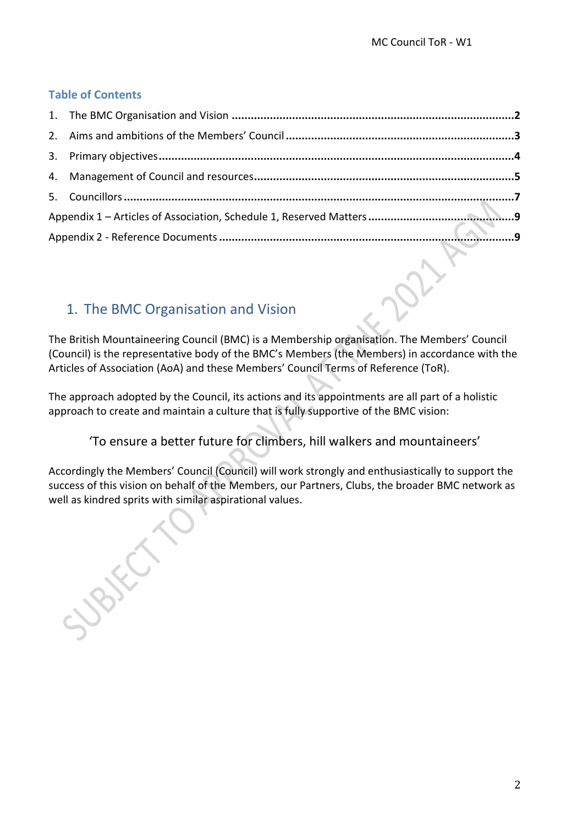### **Table of Contents**

# 1. The BMC Organisation and Vision

The British Mountaineering Council (BMC) is a Membership organisation. The Members' Council (Council) is the representative body of the BMC's Members (the Members) in accordance with the Articles of Association (AoA) and these Members' Council Terms of Reference (ToR).

The approach adopted by the Council, its actions and its appointments are all part of a holistic approach to create and maintain a culture that is fully supportive of the BMC vision:

'To ensure a better future for climbers, hill walkers and mountaineers'

Accordingly the Members' Council (Council) will work strongly and enthusiastically to support the success of this vision on behalf of the Members, our Partners, Clubs, the broader BMC network as well as kindred sprits with similar aspirational values.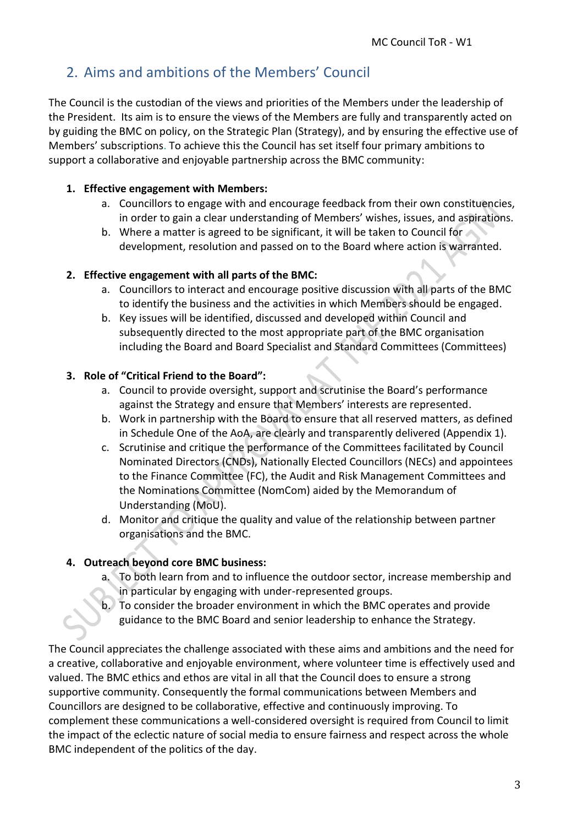# 2. Aims and ambitions of the Members' Council

The Council is the custodian of the views and priorities of the Members under the leadership of the President. Its aim is to ensure the views of the Members are fully and transparently acted on by guiding the BMC on policy, on the Strategic Plan (Strategy), and by ensuring the effective use of Members' subscriptions. To achieve this the Council has set itself four primary ambitions to support a collaborative and enjoyable partnership across the BMC community:

#### **1. Effective engagement with Members:**

- a. Councillors to engage with and encourage feedback from their own constituencies, in order to gain a clear understanding of Members' wishes, issues, and aspirations.
- b. Where a matter is agreed to be significant, it will be taken to Council for development, resolution and passed on to the Board where action is warranted.

#### **2. Effective engagement with all parts of the BMC:**

- a. Councillors to interact and encourage positive discussion with all parts of the BMC to identify the business and the activities in which Members should be engaged.
- b. Key issues will be identified, discussed and developed within Council and subsequently directed to the most appropriate part of the BMC organisation including the Board and Board Specialist and Standard Committees (Committees)

#### **3. Role of "Critical Friend to the Board":**

- a. Council to provide oversight, support and scrutinise the Board's performance against the Strategy and ensure that Members' interests are represented.
- b. Work in partnership with the Board to ensure that all reserved matters, as defined in Schedule One of the AoA, are clearly and transparently delivered (Appendix 1).
- c. Scrutinise and critique the performance of the Committees facilitated by Council Nominated Directors (CNDs), Nationally Elected Councillors (NECs) and appointees to the Finance Committee (FC), the Audit and Risk Management Committees and the Nominations Committee (NomCom) aided by the Memorandum of Understanding (MoU).
- d. Monitor and critique the quality and value of the relationship between partner organisations and the BMC.

#### **4. Outreach beyond core BMC business:**

- a. To both learn from and to influence the outdoor sector, increase membership and in particular by engaging with under-represented groups.
- b. To consider the broader environment in which the BMC operates and provide guidance to the BMC Board and senior leadership to enhance the Strategy.

The Council appreciates the challenge associated with these aims and ambitions and the need for a creative, collaborative and enjoyable environment, where volunteer time is effectively used and valued. The BMC ethics and ethos are vital in all that the Council does to ensure a strong supportive community. Consequently the formal communications between Members and Councillors are designed to be collaborative, effective and continuously improving. To complement these communications a well-considered oversight is required from Council to limit the impact of the eclectic nature of social media to ensure fairness and respect across the whole BMC independent of the politics of the day.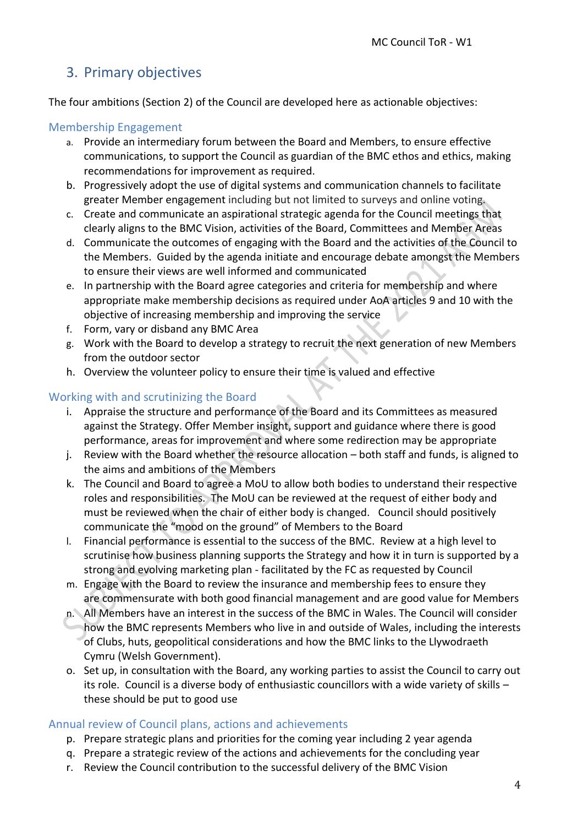# 3. Primary objectives

The four ambitions (Section 2) of the Council are developed here as actionable objectives:

#### Membership Engagement

- a. Provide an intermediary forum between the Board and Members, to ensure effective communications, to support the Council as guardian of the BMC ethos and ethics, making recommendations for improvement as required.
- b. Progressively adopt the use of digital systems and communication channels to facilitate greater Member engagement including but not limited to surveys and online voting.
- c. Create and communicate an aspirational strategic agenda for the Council meetings that clearly aligns to the BMC Vision, activities of the Board, Committees and Member Areas
- d. Communicate the outcomes of engaging with the Board and the activities of the Council to the Members. Guided by the agenda initiate and encourage debate amongst the Members to ensure their views are well informed and communicated
- e. In partnership with the Board agree categories and criteria for membership and where appropriate make membership decisions as required under AoA articles 9 and 10 with the objective of increasing membership and improving the service
- f. Form, vary or disband any BMC Area
- g. Work with the Board to develop a strategy to recruit the next generation of new Members from the outdoor sector
- h. Overview the volunteer policy to ensure their time is valued and effective

#### Working with and scrutinizing the Board

- i. Appraise the structure and performance of the Board and its Committees as measured against the Strategy. Offer Member insight, support and guidance where there is good performance, areas for improvement and where some redirection may be appropriate
- j. Review with the Board whether the resource allocation both staff and funds, is aligned to the aims and ambitions of the Members
- k. The Council and Board to agree a MoU to allow both bodies to understand their respective roles and responsibilities. The MoU can be reviewed at the request of either body and must be reviewed when the chair of either body is changed. Council should positively communicate the "mood on the ground" of Members to the Board
- l. Financial performance is essential to the success of the BMC. Review at a high level to scrutinise how business planning supports the Strategy and how it in turn is supported by a strong and evolving marketing plan - facilitated by the FC as requested by Council
- m. Engage with the Board to review the insurance and membership fees to ensure they are commensurate with both good financial management and are good value for Members
- n. All Members have an interest in the success of the BMC in Wales. The Council will consider how the BMC represents Members who live in and outside of Wales, including the interests of Clubs, huts, geopolitical considerations and how the BMC links to the Llywodraeth Cymru (Welsh Government).
- o. Set up, in consultation with the Board, any working parties to assist the Council to carry out its role. Council is a diverse body of enthusiastic councillors with a wide variety of skills – these should be put to good use

#### Annual review of Council plans, actions and achievements

- p. Prepare strategic plans and priorities for the coming year including 2 year agenda
- q. Prepare a strategic review of the actions and achievements for the concluding year
- r. Review the Council contribution to the successful delivery of the BMC Vision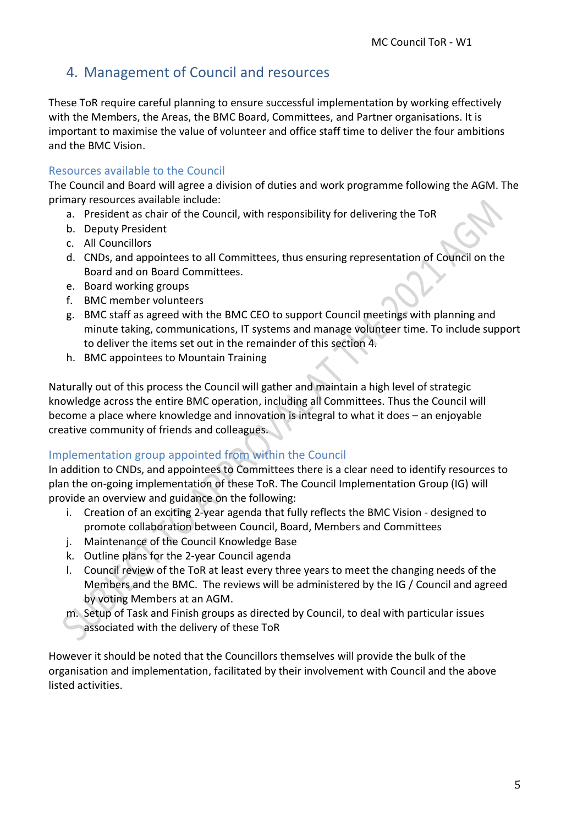## 4. Management of Council and resources

These ToR require careful planning to ensure successful implementation by working effectively with the Members, the Areas, the BMC Board, Committees, and Partner organisations. It is important to maximise the value of volunteer and office staff time to deliver the four ambitions and the BMC Vision.

#### Resources available to the Council

The Council and Board will agree a division of duties and work programme following the AGM. The primary resources available include:

- a. President as chair of the Council, with responsibility for delivering the ToR
- b. Deputy President
- c. All Councillors
- d. CNDs, and appointees to all Committees, thus ensuring representation of Council on the Board and on Board Committees.
- e. Board working groups
- f. BMC member volunteers
- g. BMC staff as agreed with the BMC CEO to support Council meetings with planning and minute taking, communications, IT systems and manage volunteer time. To include support to deliver the items set out in the remainder of this section 4.
- h. BMC appointees to Mountain Training

Naturally out of this process the Council will gather and maintain a high level of strategic knowledge across the entire BMC operation, including all Committees. Thus the Council will become a place where knowledge and innovation is integral to what it does – an enjoyable creative community of friends and colleagues.

#### Implementation group appointed from within the Council

In addition to CNDs, and appointees to Committees there is a clear need to identify resources to plan the on-going implementation of these ToR. The Council Implementation Group (IG) will provide an overview and guidance on the following:

- i. Creation of an exciting 2-year agenda that fully reflects the BMC Vision designed to promote collaboration between Council, Board, Members and Committees
- j. Maintenance of the Council Knowledge Base
- k. Outline plans for the 2-year Council agenda
- l. Council review of the ToR at least every three years to meet the changing needs of the Members and the BMC. The reviews will be administered by the IG / Council and agreed by voting Members at an AGM.
- m. Setup of Task and Finish groups as directed by Council, to deal with particular issues associated with the delivery of these ToR

However it should be noted that the Councillors themselves will provide the bulk of the organisation and implementation, facilitated by their involvement with Council and the above listed activities.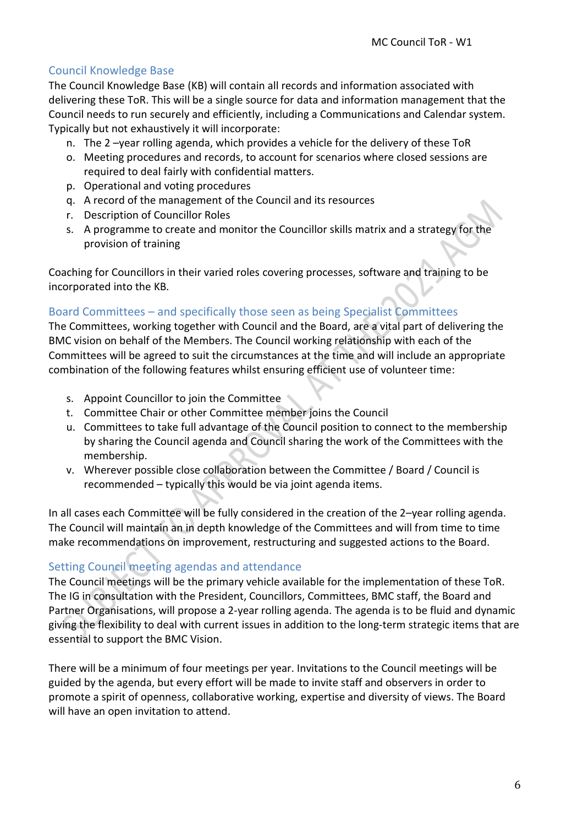### Council Knowledge Base

The Council Knowledge Base (KB) will contain all records and information associated with delivering these ToR. This will be a single source for data and information management that the Council needs to run securely and efficiently, including a Communications and Calendar system. Typically but not exhaustively it will incorporate:

- n. The 2 –year rolling agenda, which provides a vehicle for the delivery of these ToR
- o. Meeting procedures and records, to account for scenarios where closed sessions are required to deal fairly with confidential matters.
- p. Operational and voting procedures
- q. A record of the management of the Council and its resources
- r. Description of Councillor Roles
- s. A programme to create and monitor the Councillor skills matrix and a strategy for the provision of training

Coaching for Councillors in their varied roles covering processes, software and training to be incorporated into the KB.

#### Board Committees – and specifically those seen as being Specialist Committees

The Committees, working together with Council and the Board, are a vital part of delivering the BMC vision on behalf of the Members. The Council working relationship with each of the Committees will be agreed to suit the circumstances at the time and will include an appropriate combination of the following features whilst ensuring efficient use of volunteer time:

- s. Appoint Councillor to join the Committee
- t. Committee Chair or other Committee member joins the Council
- u. Committees to take full advantage of the Council position to connect to the membership by sharing the Council agenda and Council sharing the work of the Committees with the membership.
- v. Wherever possible close collaboration between the Committee / Board / Council is recommended – typically this would be via joint agenda items.

In all cases each Committee will be fully considered in the creation of the 2–year rolling agenda. The Council will maintain an in depth knowledge of the Committees and will from time to time make recommendations on improvement, restructuring and suggested actions to the Board.

## Setting Council meeting agendas and attendance

The Council meetings will be the primary vehicle available for the implementation of these ToR. The IG in consultation with the President, Councillors, Committees, BMC staff, the Board and Partner Organisations, will propose a 2-year rolling agenda. The agenda is to be fluid and dynamic giving the flexibility to deal with current issues in addition to the long-term strategic items that are essential to support the BMC Vision.

There will be a minimum of four meetings per year. Invitations to the Council meetings will be guided by the agenda, but every effort will be made to invite staff and observers in order to promote a spirit of openness, collaborative working, expertise and diversity of views. The Board will have an open invitation to attend.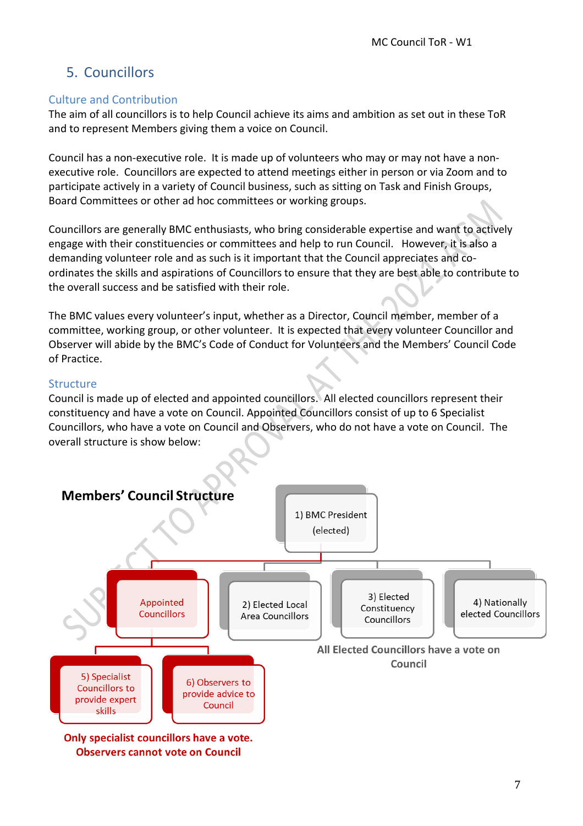# 5. Councillors

#### Culture and Contribution

The aim of all councillors is to help Council achieve its aims and ambition as set out in these ToR and to represent Members giving them a voice on Council.

Council has a non-executive role. It is made up of volunteers who may or may not have a nonexecutive role. Councillors are expected to attend meetings either in person or via Zoom and to participate actively in a variety of Council business, such as sitting on Task and Finish Groups, Board Committees or other ad hoc committees or working groups.

Councillors are generally BMC enthusiasts, who bring considerable expertise and want to actively engage with their constituencies or committees and help to run Council. However, it is also a demanding volunteer role and as such is it important that the Council appreciates and coordinates the skills and aspirations of Councillors to ensure that they are best able to contribute to the overall success and be satisfied with their role.

The BMC values every volunteer's input, whether as a Director, Council member, member of a committee, working group, or other volunteer. It is expected that every volunteer Councillor and Observer will abide by the BMC's Code of Conduct for Volunteers and the Members' Council Code of Practice.

#### Structure

Council is made up of elected and appointed councillors. All elected councillors represent their constituency and have a vote on Council. Appointed Councillors consist of up to 6 Specialist Councillors, who have a vote on Council and Observers, who do not have a vote on Council. The overall structure is show below:



Only specialist councillors have a vote. **Observers cannot vote on Council**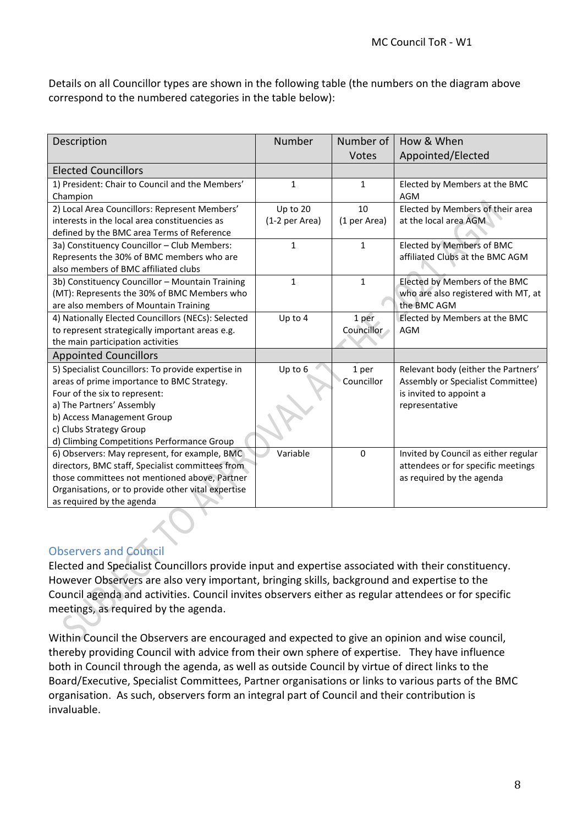Details on all Councillor types are shown in the following table (the numbers on the diagram above correspond to the numbered categories in the table below):

| Description                                        | Number         | Number of         | How & When                           |
|----------------------------------------------------|----------------|-------------------|--------------------------------------|
|                                                    |                | Votes             | Appointed/Elected                    |
| <b>Elected Councillors</b>                         |                |                   |                                      |
| 1) President: Chair to Council and the Members'    | $\mathbf{1}$   | 1                 | Elected by Members at the BMC        |
| Champion                                           |                |                   | <b>AGM</b>                           |
| 2) Local Area Councillors: Represent Members'      | Up to 20       | 10                | Elected by Members of their area     |
| interests in the local area constituencies as      | (1-2 per Area) | (1 per Area)      | at the local area AGM                |
| defined by the BMC area Terms of Reference         |                |                   |                                      |
| 3a) Constituency Councillor - Club Members:        | $\mathbf{1}$   | $\mathbf{1}$      | <b>Elected by Members of BMC</b>     |
| Represents the 30% of BMC members who are          |                |                   | affiliated Clubs at the BMC AGM      |
| also members of BMC affiliated clubs               |                |                   |                                      |
| 3b) Constituency Councillor - Mountain Training    | $\mathbf{1}$   | $\mathbf{1}$      | Elected by Members of the BMC        |
| (MT): Represents the 30% of BMC Members who        |                |                   | who are also registered with MT, at  |
| are also members of Mountain Training              |                |                   | the BMC AGM                          |
| 4) Nationally Elected Councillors (NECs): Selected | Up to 4        | 1 per             | Elected by Members at the BMC        |
| to represent strategically important areas e.g.    |                | <b>Councillor</b> | <b>AGM</b>                           |
| the main participation activities                  |                |                   |                                      |
| <b>Appointed Councillors</b>                       |                |                   |                                      |
| 5) Specialist Councillors: To provide expertise in | Up to 6        | 1 per             | Relevant body (either the Partners'  |
| areas of prime importance to BMC Strategy.         |                | Councillor        | Assembly or Specialist Committee)    |
| Four of the six to represent:                      |                |                   | is invited to appoint a              |
| a) The Partners' Assembly                          |                |                   | representative                       |
| b) Access Management Group                         |                |                   |                                      |
| c) Clubs Strategy Group                            |                |                   |                                      |
| d) Climbing Competitions Performance Group         |                |                   |                                      |
| 6) Observers: May represent, for example, BMC      | Variable       | $\mathbf{0}$      | Invited by Council as either regular |
| directors, BMC staff, Specialist committees from   |                |                   | attendees or for specific meetings   |
| those committees not mentioned above, Partner      |                |                   | as required by the agenda            |
| Organisations, or to provide other vital expertise |                |                   |                                      |
| as required by the agenda                          |                |                   |                                      |

#### Observers and Council

Elected and Specialist Councillors provide input and expertise associated with their constituency. However Observers are also very important, bringing skills, background and expertise to the Council agenda and activities. Council invites observers either as regular attendees or for specific meetings, as required by the agenda.

Within Council the Observers are encouraged and expected to give an opinion and wise council, thereby providing Council with advice from their own sphere of expertise. They have influence both in Council through the agenda, as well as outside Council by virtue of direct links to the Board/Executive, Specialist Committees, Partner organisations or links to various parts of the BMC organisation. As such, observers form an integral part of Council and their contribution is invaluable.